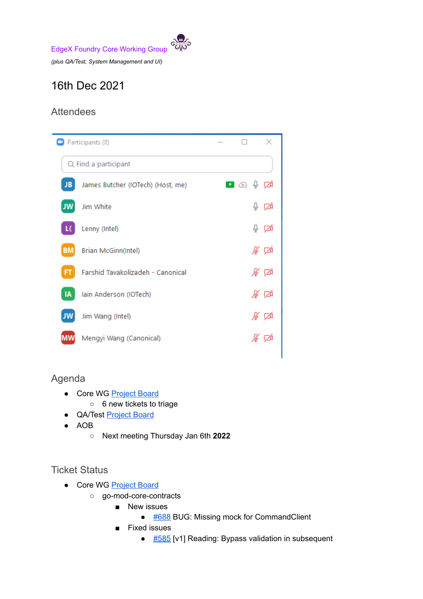

## 16th Dec 2021

## **Attendees**

| Participants (8)     |                                   |  |                   | ×     |
|----------------------|-----------------------------------|--|-------------------|-------|
| Q Find a participant |                                   |  |                   |       |
| JB                   | James Butcher (IOTech) (Host, me) |  | $\bullet$ $\circ$ | ⊕ ⊘≾  |
|                      | Jim White                         |  |                   | Ø     |
| L(                   | Lenny (Intel)                     |  | Q,                | 龙     |
| <b>BM</b>            | Brian McGinn(Intel)               |  |                   | % ⊄   |
| FТ                   | Farshid Tavakolizadeh - Canonical |  |                   | ∦∽ ⊄  |
| IΑ                   | Iain Anderson (IOTech)            |  |                   | ∦∽ ⊽∆ |
|                      | Jim Wang (Intel)                  |  |                   | Æ ⊄   |
|                      | Mengyi Wang (Canonical)           |  |                   |       |
|                      |                                   |  |                   |       |

## Agenda

- Core WG [Project](https://github.com/orgs/edgexfoundry/projects/25) Board
	- 6 new tickets to triage
- QA/Test [Project](https://github.com/orgs/edgexfoundry/projects/27) Board
- AOB
	- Next meeting Thursday Jan 6th **2022**

## Ticket Status

- Core WG [Project](https://github.com/orgs/edgexfoundry/projects/25) Board
	- go-mod-core-contracts
		- New issues
			- [#688](https://github.com/edgexfoundry/go-mod-core-contracts/issues/688) BUG: Missing mock for CommandClient
		- Fixed issues
			- [#585](https://github.com/edgexfoundry/go-mod-core-contracts/issues/585) [v1] Reading: Bypass validation in subsequent